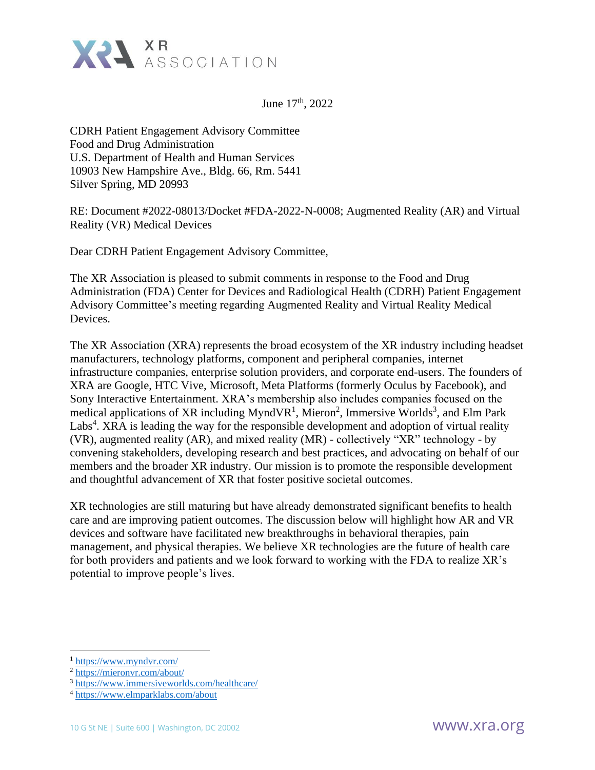

June  $17<sup>th</sup>$ , 2022

CDRH Patient Engagement Advisory Committee Food and Drug Administration U.S. Department of Health and Human Services 10903 New Hampshire Ave., Bldg. 66, Rm. 5441 Silver Spring, MD 20993

RE: Document #2022-08013/Docket #FDA-2022-N-0008; Augmented Reality (AR) and Virtual Reality (VR) Medical Devices

Dear CDRH Patient Engagement Advisory Committee,

The XR Association is pleased to submit comments in response to the Food and Drug Administration (FDA) Center for Devices and Radiological Health (CDRH) Patient Engagement Advisory Committee's meeting regarding Augmented Reality and Virtual Reality Medical Devices.

The XR Association (XRA) represents the broad ecosystem of the XR industry including headset manufacturers, technology platforms, component and peripheral companies, internet infrastructure companies, enterprise solution providers, and corporate end-users. The founders of XRA are Google, HTC Vive, Microsoft, Meta Platforms (formerly Oculus by Facebook), and Sony Interactive Entertainment. XRA's membership also includes companies focused on the medical applications of XR including MyndVR<sup>1</sup>, Mieron<sup>2</sup>, Immersive Worlds<sup>3</sup>, and Elm Park Labs<sup>4</sup>. XRA is leading the way for the responsible development and adoption of virtual reality (VR), augmented reality (AR), and mixed reality (MR) - collectively "XR" technology - by convening stakeholders, developing research and best practices, and advocating on behalf of our members and the broader XR industry. Our mission is to promote the responsible development and thoughtful advancement of XR that foster positive societal outcomes.

XR technologies are still maturing but have already demonstrated significant benefits to health care and are improving patient outcomes. The discussion below will highlight how AR and VR devices and software have facilitated new breakthroughs in behavioral therapies, pain management, and physical therapies. We believe XR technologies are the future of health care for both providers and patients and we look forward to working with the FDA to realize XR's potential to improve people's lives.

<sup>1</sup> <https://www.myndvr.com/>

<sup>2</sup> <https://mieronvr.com/about/>

<sup>3</sup> <https://www.immersiveworlds.com/healthcare/>

<sup>4</sup> <https://www.elmparklabs.com/about>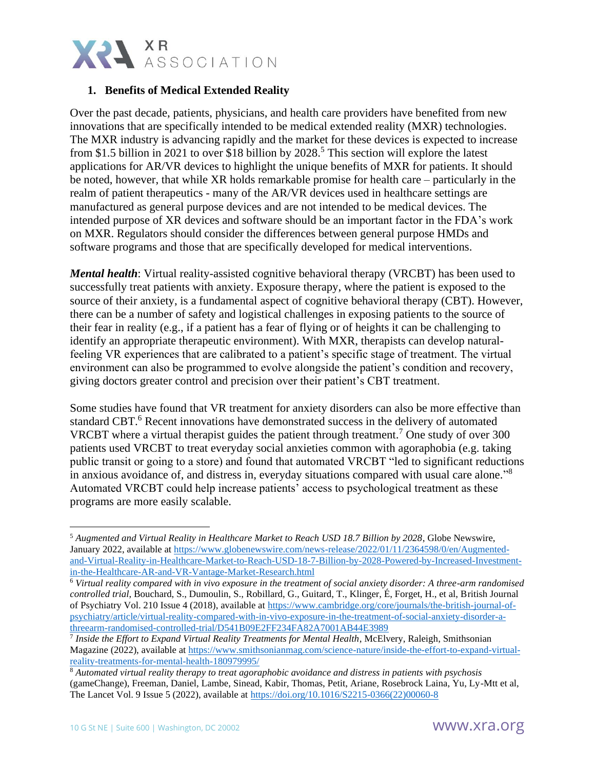

# **1. Benefits of Medical Extended Reality**

Over the past decade, patients, physicians, and health care providers have benefited from new innovations that are specifically intended to be medical extended reality (MXR) technologies. The MXR industry is advancing rapidly and the market for these devices is expected to increase from \$1.5 billion in 2021 to over \$18 billion by 2028.<sup>5</sup> This section will explore the latest applications for AR/VR devices to highlight the unique benefits of MXR for patients. It should be noted, however, that while XR holds remarkable promise for health care – particularly in the realm of patient therapeutics - many of the AR/VR devices used in healthcare settings are manufactured as general purpose devices and are not intended to be medical devices. The intended purpose of XR devices and software should be an important factor in the FDA's work on MXR. Regulators should consider the differences between general purpose HMDs and software programs and those that are specifically developed for medical interventions.

*Mental health*: Virtual reality-assisted cognitive behavioral therapy (VRCBT) has been used to successfully treat patients with anxiety. Exposure therapy, where the patient is exposed to the source of their anxiety, is a fundamental aspect of cognitive behavioral therapy (CBT). However, there can be a number of safety and logistical challenges in exposing patients to the source of their fear in reality (e.g., if a patient has a fear of flying or of heights it can be challenging to identify an appropriate therapeutic environment). With MXR, therapists can develop naturalfeeling VR experiences that are calibrated to a patient's specific stage of treatment. The virtual environment can also be programmed to evolve alongside the patient's condition and recovery, giving doctors greater control and precision over their patient's CBT treatment.

Some studies have found that VR treatment for anxiety disorders can also be more effective than standard CBT.<sup>6</sup> Recent innovations have demonstrated success in the delivery of automated VRCBT where a virtual therapist guides the patient through treatment.<sup>7</sup> One study of over 300 patients used VRCBT to treat everyday social anxieties common with agoraphobia (e.g. taking public transit or going to a store) and found that automated VRCBT "led to significant reductions in anxious avoidance of, and distress in, everyday situations compared with usual care alone."<sup>8</sup> Automated VRCBT could help increase patients' access to psychological treatment as these programs are more easily scalable.

<sup>5</sup> *Augmented and Virtual Reality in Healthcare Market to Reach USD 18.7 Billion by 2028*, Globe Newswire, January 2022, available at [https://www.globenewswire.com/news-release/2022/01/11/2364598/0/en/Augmented](https://www.globenewswire.com/news-release/2022/01/11/2364598/0/en/Augmented-and-Virtual-Reality-in-Healthcare-Market-to-Reach-USD-18-7-Billion-by-2028-Powered-by-Increased-Investment-in-the-Healthcare-AR-and-VR-Vantage-Market-Research.html)[and-Virtual-Reality-in-Healthcare-Market-to-Reach-USD-18-7-Billion-by-2028-Powered-by-Increased-Investment](https://www.globenewswire.com/news-release/2022/01/11/2364598/0/en/Augmented-and-Virtual-Reality-in-Healthcare-Market-to-Reach-USD-18-7-Billion-by-2028-Powered-by-Increased-Investment-in-the-Healthcare-AR-and-VR-Vantage-Market-Research.html)[in-the-Healthcare-AR-and-VR-Vantage-Market-Research.html](https://www.globenewswire.com/news-release/2022/01/11/2364598/0/en/Augmented-and-Virtual-Reality-in-Healthcare-Market-to-Reach-USD-18-7-Billion-by-2028-Powered-by-Increased-Investment-in-the-Healthcare-AR-and-VR-Vantage-Market-Research.html) 

<sup>6</sup> *Virtual reality compared with in vivo exposure in the treatment of social anxiety disorder: A three-arm randomised controlled trial*, Bouchard, S., Dumoulin, S., Robillard, G., Guitard, T., Klinger, É, Forget, H., et al, British Journal of Psychiatry Vol. 210 Issue 4 (2018), available at [https://www.cambridge.org/core/journals/the-british-journal-of](https://www.cambridge.org/core/journals/the-british-journal-of-psychiatry/article/virtual-reality-compared-with-in-vivo-exposure-in-the-treatment-of-social-anxiety-disorder-a-threearm-randomised-controlled-trial/D541B09E2FF234FA82A7001AB44E3989)[psychiatry/article/virtual-reality-compared-with-in-vivo-exposure-in-the-treatment-of-social-anxiety-disorder-a](https://www.cambridge.org/core/journals/the-british-journal-of-psychiatry/article/virtual-reality-compared-with-in-vivo-exposure-in-the-treatment-of-social-anxiety-disorder-a-threearm-randomised-controlled-trial/D541B09E2FF234FA82A7001AB44E3989)[threearm-randomised-controlled-trial/D541B09E2FF234FA82A7001AB44E3989](https://www.cambridge.org/core/journals/the-british-journal-of-psychiatry/article/virtual-reality-compared-with-in-vivo-exposure-in-the-treatment-of-social-anxiety-disorder-a-threearm-randomised-controlled-trial/D541B09E2FF234FA82A7001AB44E3989)

<sup>7</sup> *Inside the Effort to Expand Virtual Reality Treatments for Mental Health*, McElvery, Raleigh, Smithsonian Magazine (2022), available at [https://www.smithsonianmag.com/science-nature/inside-the-effort-to-expand-virtual](https://www.smithsonianmag.com/science-nature/inside-the-effort-to-expand-virtual-reality-treatments-for-mental-health-180979995/)[reality-treatments-for-mental-health-180979995/](https://www.smithsonianmag.com/science-nature/inside-the-effort-to-expand-virtual-reality-treatments-for-mental-health-180979995/)

<sup>8</sup> *Automated virtual reality therapy to treat agoraphobic avoidance and distress in patients with psychosis* (gameChange), Freeman, Daniel, Lambe, Sinead, Kabir, Thomas, Petit, Ariane, Rosebrock Laina, Yu, Ly-Mtt et al, The Lancet Vol. 9 Issue 5 (2022), available at [https://doi.org/10.1016/S2215-0366\(22\)00060-8](https://doi.org/10.1016/S2215-0366(22)00060-8)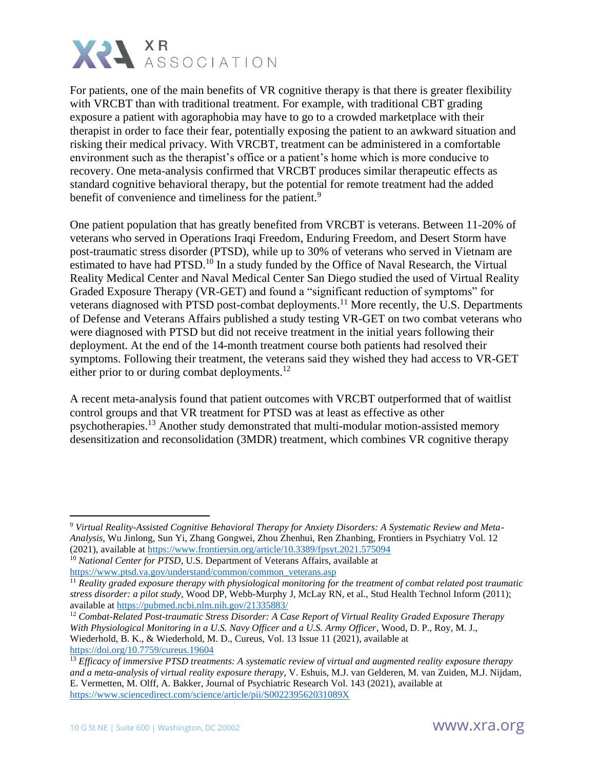

For patients, one of the main benefits of VR cognitive therapy is that there is greater flexibility with VRCBT than with traditional treatment. For example, with traditional CBT grading exposure a patient with agoraphobia may have to go to a crowded marketplace with their therapist in order to face their fear, potentially exposing the patient to an awkward situation and risking their medical privacy. With VRCBT, treatment can be administered in a comfortable environment such as the therapist's office or a patient's home which is more conducive to recovery. One meta-analysis confirmed that VRCBT produces similar therapeutic effects as standard cognitive behavioral therapy, but the potential for remote treatment had the added benefit of convenience and timeliness for the patient.<sup>9</sup>

One patient population that has greatly benefited from VRCBT is veterans. Between 11-20% of veterans who served in Operations Iraqi Freedom, Enduring Freedom, and Desert Storm have post-traumatic stress disorder (PTSD), while up to 30% of veterans who served in Vietnam are estimated to have had PTSD.<sup>10</sup> In a study funded by the Office of Naval Research, the Virtual Reality Medical Center and Naval Medical Center San Diego studied the used of Virtual Reality Graded Exposure Therapy (VR-GET) and found a "significant reduction of symptoms" for veterans diagnosed with PTSD post-combat deployments.<sup>11</sup> More recently, the U.S. Departments of Defense and Veterans Affairs published a study testing VR-GET on two combat veterans who were diagnosed with PTSD but did not receive treatment in the initial years following their deployment. At the end of the 14-month treatment course both patients had resolved their symptoms. Following their treatment, the veterans said they wished they had access to VR-GET either prior to or during combat deployments.<sup>12</sup>

A recent meta-analysis found that patient outcomes with VRCBT outperformed that of waitlist control groups and that VR treatment for PTSD was at least as effective as other psychotherapies.<sup>13</sup> Another study demonstrated that multi-modular motion-assisted memory desensitization and reconsolidation (3MDR) treatment, which combines VR cognitive therapy

<sup>9</sup> *Virtual Reality-Assisted Cognitive Behavioral Therapy for Anxiety Disorders: A Systematic Review and Meta-Analysis*, Wu Jinlong, Sun Yi, Zhang Gongwei, Zhou Zhenhui, Ren Zhanbing, Frontiers in Psychiatry Vol. 12 (2021), available at<https://www.frontiersin.org/article/10.3389/fpsyt.2021.575094>

<sup>&</sup>lt;sup>10</sup> *National Center for PTSD*, U.S. Department of Veterans Affairs, available at [https://www.ptsd.va.gov/understand/common/common\\_veterans.asp](https://www.ptsd.va.gov/understand/common/common_veterans.asp)

<sup>11</sup> *Reality graded exposure therapy with physiological monitoring for the treatment of combat related post traumatic stress disorder: a pilot study,* Wood DP, Webb-Murphy J, McLay RN, et al., Stud Health Technol Inform (2011); available at<https://pubmed.ncbi.nlm.nih.gov/21335883/>

<sup>12</sup> *Combat-Related Post-traumatic Stress Disorder: A Case Report of Virtual Reality Graded Exposure Therapy With Physiological Monitoring in a U.S. Navy Officer and a U.S. Army Officer*, Wood, D. P., Roy, M. J., Wiederhold, B. K., & Wiederhold, M. D., Cureus, Vol. 13 Issue 11 (2021), available at <https://doi.org/10.7759/cureus.19604>

<sup>13</sup> *Efficacy of immersive PTSD treatments: A systematic review of virtual and augmented reality exposure therapy and a meta-analysis of virtual reality exposure therapy*, V. Eshuis, M.J. van Gelderen, M. van Zuiden, M.J. Nijdam, E. Vermetten, M. Olff, A. Bakker, Journal of Psychiatric Research Vol. 143 (2021), available at <https://www.sciencedirect.com/science/article/pii/S002239562031089X>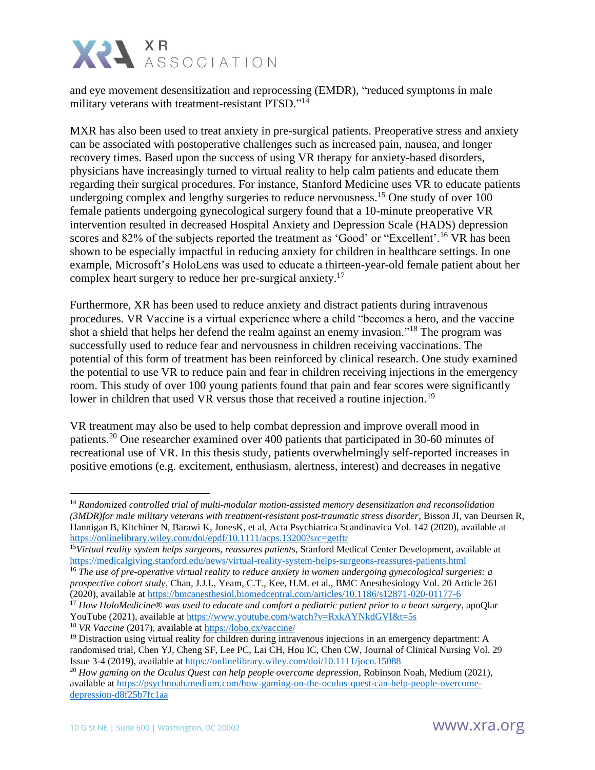

and eye movement desensitization and reprocessing (EMDR), "reduced symptoms in male military veterans with treatment-resistant PTSD."<sup>14</sup>

MXR has also been used to treat anxiety in pre-surgical patients. Preoperative stress and anxiety can be associated with postoperative challenges such as increased pain, nausea, and longer recovery times. Based upon the success of using VR therapy for anxiety-based disorders, physicians have increasingly turned to virtual reality to help calm patients and educate them regarding their surgical procedures. For instance, Stanford Medicine uses VR to educate patients undergoing complex and lengthy surgeries to reduce nervousness.<sup>15</sup> One study of over 100 female patients undergoing gynecological surgery found that a 10-minute preoperative VR intervention resulted in decreased Hospital Anxiety and Depression Scale (HADS) depression scores and 82% of the subjects reported the treatment as 'Good' or "Excellent'.<sup>16</sup> VR has been shown to be especially impactful in reducing anxiety for children in healthcare settings. In one example, Microsoft's HoloLens was used to educate a thirteen-year-old female patient about her complex heart surgery to reduce her pre-surgical anxiety.<sup>17</sup>

Furthermore, XR has been used to reduce anxiety and distract patients during intravenous procedures. VR Vaccine is a virtual experience where a child "becomes a hero, and the vaccine shot a shield that helps her defend the realm against an enemy invasion."<sup>18</sup> The program was successfully used to reduce fear and nervousness in children receiving vaccinations. The potential of this form of treatment has been reinforced by clinical research. One study examined the potential to use VR to reduce pain and fear in children receiving injections in the emergency room. This study of over 100 young patients found that pain and fear scores were significantly lower in children that used VR versus those that received a routine injection.<sup>19</sup>

VR treatment may also be used to help combat depression and improve overall mood in patients.<sup>20</sup> One researcher examined over 400 patients that participated in 30-60 minutes of recreational use of VR. In this thesis study, patients overwhelmingly self-reported increases in positive emotions (e.g. excitement, enthusiasm, alertness, interest) and decreases in negative

<sup>18</sup> *VR Vaccine* (2017), available at<https://lobo.cx/vaccine/>

<sup>14</sup> *Randomized controlled trial of multi-modular motion-assisted memory desensitization and reconsolidation (3MDR)for male military veterans with treatment-resistant post-traumatic stress disorder*, Bisson JI, van Deursen R, Hannigan B, Kitchiner N, Barawi K, JonesK, et al, Acta Psychiatrica Scandinavica Vol. 142 (2020), available at <https://onlinelibrary.wiley.com/doi/epdf/10.1111/acps.13200?src=getftr>

<sup>15</sup>*Virtual reality system helps surgeons, reassures patients*, Stanford Medical Center Development, available at <https://medicalgiving.stanford.edu/news/virtual-reality-system-helps-surgeons-reassures-patients.html>

<sup>16</sup> *The use of pre-operative virtual reality to reduce anxiety in women undergoing gynecological surgeries: a prospective cohort study*, Chan, J.J.I., Yeam, C.T., Kee, H.M. et al., BMC Anesthesiology Vol. 20 Article 261 (2020), available at<https://bmcanesthesiol.biomedcentral.com/articles/10.1186/s12871-020-01177-6>

<sup>&</sup>lt;sup>17</sup> How HoloMedicine® was used to educate and comfort a pediatric patient prior to a heart surgery, apoQlar YouTube (2021), available at<https://www.youtube.com/watch?v=RxkAYNkdGVI&t=5s>

<sup>&</sup>lt;sup>19</sup> Distraction using virtual reality for children during intravenous injections in an emergency department: A randomised trial, Chen YJ, Cheng SF, Lee PC, Lai CH, Hou IC, Chen CW, Journal of Clinical Nursing Vol. 29 Issue 3-4 (2019), available at<https://onlinelibrary.wiley.com/doi/10.1111/jocn.15088>

<sup>&</sup>lt;sup>20</sup> How gaming on the Oculus Quest can help people overcome depression, Robinson Noah, Medium (2021), available at [https://psychnoah.medium.com/how-gaming-on-the-oculus-quest-can-help-people-overcome](https://psychnoah.medium.com/how-gaming-on-the-oculus-quest-can-help-people-overcome-depression-d8f25b7fc1aa)[depression-d8f25b7fc1aa](https://psychnoah.medium.com/how-gaming-on-the-oculus-quest-can-help-people-overcome-depression-d8f25b7fc1aa)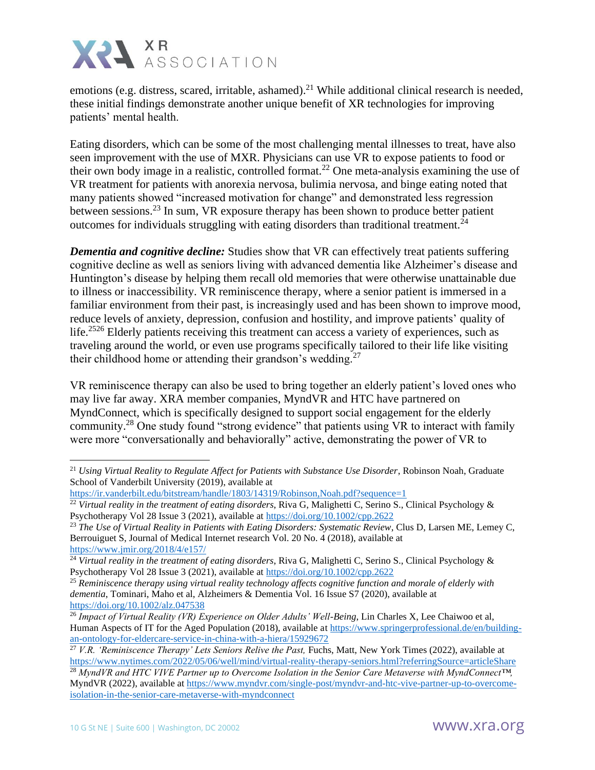

emotions (e.g. distress, scared, irritable, ashamed).<sup>21</sup> While additional clinical research is needed, these initial findings demonstrate another unique benefit of XR technologies for improving patients' mental health.

Eating disorders, which can be some of the most challenging mental illnesses to treat, have also seen improvement with the use of MXR. Physicians can use VR to expose patients to food or their own body image in a realistic, controlled format.<sup>22</sup> One meta-analysis examining the use of VR treatment for patients with anorexia nervosa, bulimia nervosa, and binge eating noted that many patients showed "increased motivation for change" and demonstrated less regression between sessions.<sup>23</sup> In sum, VR exposure therapy has been shown to produce better patient outcomes for individuals struggling with eating disorders than traditional treatment.<sup>24</sup>

*Dementia and cognitive decline:* Studies show that VR can effectively treat patients suffering cognitive decline as well as seniors living with advanced dementia like Alzheimer's disease and Huntington's disease by helping them recall old memories that were otherwise unattainable due to illness or inaccessibility. VR reminiscence therapy, where a senior patient is immersed in a familiar environment from their past, is increasingly used and has been shown to improve mood, reduce levels of anxiety, depression, confusion and hostility, and improve patients' quality of life.<sup>2526</sup> Elderly patients receiving this treatment can access a variety of experiences, such as traveling around the world, or even use programs specifically tailored to their life like visiting their childhood home or attending their grandson's wedding.<sup>27</sup>

VR reminiscence therapy can also be used to bring together an elderly patient's loved ones who may live far away. XRA member companies, MyndVR and HTC have partnered on MyndConnect, which is specifically designed to support social engagement for the elderly community.<sup>28</sup> One study found "strong evidence" that patients using VR to interact with family were more "conversationally and behaviorally" active, demonstrating the power of VR to

<sup>&</sup>lt;sup>21</sup> *Using Virtual Reality to Regulate Affect for Patients with Substance Use Disorder*, Robinson Noah, Graduate School of Vanderbilt University (2019), available at

<https://ir.vanderbilt.edu/bitstream/handle/1803/14319/Robinson,Noah.pdf?sequence=1>

<sup>&</sup>lt;sup>22</sup> Virtual reality in the treatment of eating disorders, Riva G, Malighetti C, Serino S., Clinical Psychology & Psychotherapy Vol 28 Issue 3 (2021), available at<https://doi.org/10.1002/cpp.2622>

<sup>&</sup>lt;sup>23</sup> The Use of Virtual Reality in Patients with Eating Disorders: Systematic Review, Clus D, Larsen ME, Lemey C, Berrouiguet S, Journal of Medical Internet research Vol. 20 No. 4 (2018), available at <https://www.jmir.org/2018/4/e157/>

<sup>24</sup> *Virtual reality in the treatment of eating disorders*, Riva G, Malighetti C, Serino S., Clinical Psychology & Psychotherapy Vol 28 Issue 3 (2021), available at<https://doi.org/10.1002/cpp.2622>

<sup>25</sup> *Reminiscence therapy using virtual reality technology affects cognitive function and morale of elderly with dementia*, Tominari, Maho et al, Alzheimers & Dementia Vol. 16 Issue S7 (2020), available at <https://doi.org/10.1002/alz.047538>

<sup>&</sup>lt;sup>26</sup> *Impact of Virtual Reality (VR) Experience on Older Adults' Well-Being*, Lin Charles X, Lee Chaiwoo et al, Human Aspects of IT for the Aged Population (2018), available a[t https://www.springerprofessional.de/en/building](https://www.springerprofessional.de/en/building-an-ontology-for-eldercare-service-in-china-with-a-hiera/15929672)[an-ontology-for-eldercare-service-in-china-with-a-hiera/15929672](https://www.springerprofessional.de/en/building-an-ontology-for-eldercare-service-in-china-with-a-hiera/15929672)

<sup>&</sup>lt;sup>27</sup> *V.R. 'Reminiscence Therapy' Lets Seniors Relive the Past, Fuchs, Matt, New York Times (2022), available at* <https://www.nytimes.com/2022/05/06/well/mind/virtual-reality-therapy-seniors.html?referringSource=articleShare>

<sup>28</sup> *MyndVR and HTC VIVE Partner up to Overcome Isolation in the Senior Care Metaverse with MyndConnect™,* MyndVR (2022), available at [https://www.myndvr.com/single-post/myndvr-and-htc-vive-partner-up-to-overcome](https://www.myndvr.com/single-post/myndvr-and-htc-vive-partner-up-to-overcome-isolation-in-the-senior-care-metaverse-with-myndconnect)[isolation-in-the-senior-care-metaverse-with-myndconnect](https://www.myndvr.com/single-post/myndvr-and-htc-vive-partner-up-to-overcome-isolation-in-the-senior-care-metaverse-with-myndconnect)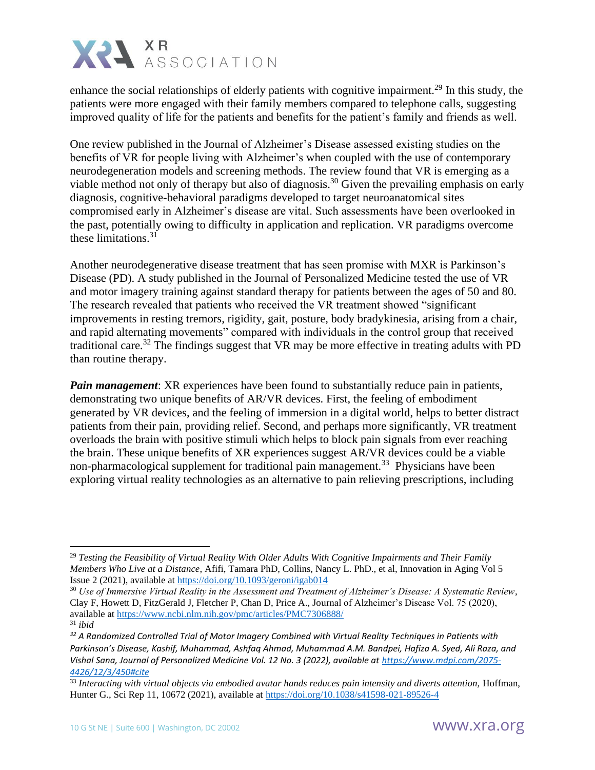

enhance the social relationships of elderly patients with cognitive impairment.<sup>29</sup> In this study, the patients were more engaged with their family members compared to telephone calls, suggesting improved quality of life for the patients and benefits for the patient's family and friends as well.

One review published in the Journal of Alzheimer's Disease assessed existing studies on the benefits of VR for people living with Alzheimer's when coupled with the use of contemporary neurodegeneration models and screening methods. The review found that VR is emerging as a viable method not only of therapy but also of diagnosis.<sup>30</sup> Given the prevailing emphasis on early diagnosis, cognitive-behavioral paradigms developed to target neuroanatomical sites compromised early in Alzheimer's disease are vital. Such assessments have been overlooked in the past, potentially owing to difficulty in application and replication. VR paradigms overcome these limitations. $31$ 

Another neurodegenerative disease treatment that has seen promise with MXR is Parkinson's Disease (PD). A study published in the Journal of Personalized Medicine tested the use of VR and motor imagery training against standard therapy for patients between the ages of 50 and 80. The research revealed that patients who received the VR treatment showed "significant improvements in resting tremors, rigidity, gait, posture, body bradykinesia, arising from a chair, and rapid alternating movements" compared with individuals in the control group that received traditional care.<sup>32</sup> The findings suggest that VR may be more effective in treating adults with PD than routine therapy.

*Pain management*: XR experiences have been found to substantially reduce pain in patients, demonstrating two unique benefits of AR/VR devices. First, the feeling of embodiment generated by VR devices, and the feeling of immersion in a digital world, helps to better distract patients from their pain, providing relief. Second, and perhaps more significantly, VR treatment overloads the brain with positive stimuli which helps to block pain signals from ever reaching the brain. These unique benefits of XR experiences suggest AR/VR devices could be a viable non-pharmacological supplement for traditional pain management.<sup>33</sup> Physicians have been exploring virtual reality technologies as an alternative to pain relieving prescriptions, including

<sup>29</sup> *Testing the Feasibility of Virtual Reality With Older Adults With Cognitive Impairments and Their Family Members Who Live at a Distance*, Afifi, Tamara PhD, Collins, Nancy L. PhD., et al, Innovation in Aging Vol 5 Issue 2 (2021), available a[t https://doi.org/10.1093/geroni/igab014](https://doi.org/10.1093/geroni/igab014)

<sup>30</sup> *Use of Immersive Virtual Reality in the Assessment and Treatment of Alzheimer's Disease: A Systematic Review*, Clay F, Howett D, FitzGerald J, Fletcher P, Chan D, Price A., Journal of Alzheimer's Disease Vol. 75 (2020), available at<https://www.ncbi.nlm.nih.gov/pmc/articles/PMC7306888/> <sup>31</sup> *ibid*

*<sup>32</sup> A Randomized Controlled Trial of Motor Imagery Combined with Virtual Reality Techniques in Patients with Parkinson's Disease, Kashif, Muhammad, Ashfaq Ahmad, Muhammad A.M. Bandpei, Hafiza A. Syed, Ali Raza, and Vishal Sana, Journal of Personalized Medicine Vol. 12 No. 3 (2022), available at [https://www.mdpi.com/2075-](https://www.mdpi.com/2075-4426/12/3/450#cite) [4426/12/3/450#cite](https://www.mdpi.com/2075-4426/12/3/450#cite)*

<sup>&</sup>lt;sup>33</sup> Interacting with virtual objects via embodied avatar hands reduces pain intensity and diverts attention, Hoffman, Hunter G., Sci Rep 11, 10672 (2021), available at<https://doi.org/10.1038/s41598-021-89526-4>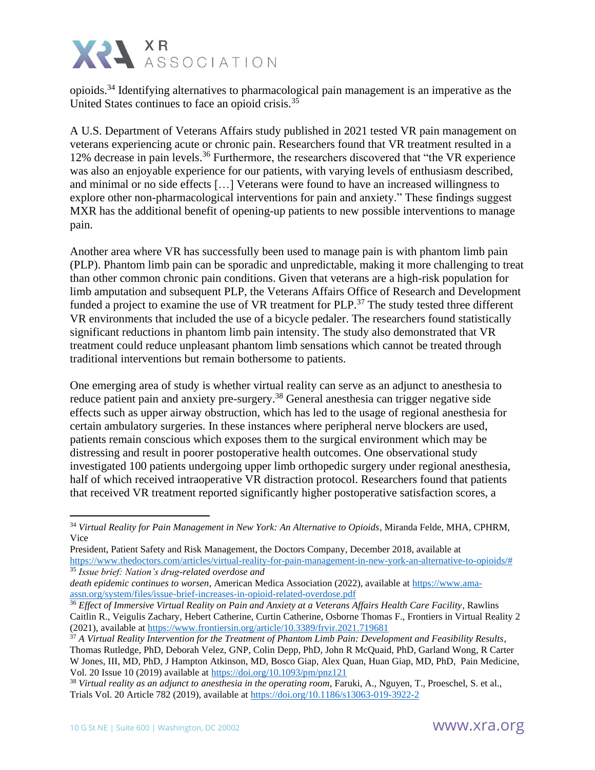

opioids.<sup>34</sup> Identifying alternatives to pharmacological pain management is an imperative as the United States continues to face an opioid crisis.<sup>35</sup>

A U.S. Department of Veterans Affairs study published in 2021 tested VR pain management on veterans experiencing acute or chronic pain. Researchers found that VR treatment resulted in a 12% decrease in pain levels.<sup>36</sup> Furthermore, the researchers discovered that "the VR experience" was also an enjoyable experience for our patients, with varying levels of enthusiasm described, and minimal or no side effects […] Veterans were found to have an increased willingness to explore other non-pharmacological interventions for pain and anxiety." These findings suggest MXR has the additional benefit of opening-up patients to new possible interventions to manage pain.

Another area where VR has successfully been used to manage pain is with phantom limb pain (PLP). Phantom limb pain can be sporadic and unpredictable, making it more challenging to treat than other common chronic pain conditions. Given that veterans are a high-risk population for limb amputation and subsequent PLP, the Veterans Affairs Office of Research and Development funded a project to examine the use of VR treatment for PLP.<sup>37</sup> The study tested three different VR environments that included the use of a bicycle pedaler. The researchers found statistically significant reductions in phantom limb pain intensity. The study also demonstrated that VR treatment could reduce unpleasant phantom limb sensations which cannot be treated through traditional interventions but remain bothersome to patients.

One emerging area of study is whether virtual reality can serve as an adjunct to anesthesia to reduce patient pain and anxiety pre-surgery.<sup>38</sup> General anesthesia can trigger negative side effects such as upper airway obstruction, which has led to the usage of regional anesthesia for certain ambulatory surgeries. In these instances where peripheral nerve blockers are used, patients remain conscious which exposes them to the surgical environment which may be distressing and result in poorer postoperative health outcomes. One observational study investigated 100 patients undergoing upper limb orthopedic surgery under regional anesthesia, half of which received intraoperative VR distraction protocol. Researchers found that patients that received VR treatment reported significantly higher postoperative satisfaction scores, a

<sup>34</sup> *Virtual Reality for Pain Management in New York: An Alternative to Opioids*, Miranda Felde, MHA, CPHRM, Vice

President, Patient Safety and Risk Management, the Doctors Company, December 2018, available at [https://www.thedoctors.com/articles/virtual-reality-for-pain-management-in-new-york-an-alternative-to-opioids/#](https://www.thedoctors.com/articles/virtual-reality-for-pain-management-in-new-york-an-alternative-to-opioids/) <sup>35</sup> *Issue brief: Nation's drug-related overdose and*

*death epidemic continues to worsen*, American Medica Association (2022), available at [https://www.ama](https://www.ama-assn.org/system/files/issue-brief-increases-in-opioid-related-overdose.pdf)[assn.org/system/files/issue-brief-increases-in-opioid-related-overdose.pdf](https://www.ama-assn.org/system/files/issue-brief-increases-in-opioid-related-overdose.pdf)

<sup>&</sup>lt;sup>36</sup> *Effect of Immersive Virtual Reality on Pain and Anxiety at a Veterans Affairs Health Care Facility*, Rawlins Caitlin R., Veigulis Zachary, Hebert Catherine, Curtin Catherine, Osborne Thomas F., Frontiers in Virtual Reality 2 (2021), available at<https://www.frontiersin.org/article/10.3389/frvir.2021.719681>

<sup>37</sup> *A Virtual Reality Intervention for the Treatment of Phantom Limb Pain: Development and Feasibility Results*, Thomas Rutledge, PhD, Deborah Velez, GNP, Colin Depp, PhD, John R McQuaid, PhD, Garland Wong, R Carter W Jones, III, MD, PhD, J Hampton Atkinson, MD, Bosco Giap, Alex Quan, Huan Giap, MD, PhD, Pain Medicine, Vol. 20 Issue 10 (2019) available at<https://doi.org/10.1093/pm/pnz121>

<sup>38</sup> *Virtual reality as an adjunct to anesthesia in the operating room*, Faruki, A., Nguyen, T., Proeschel, S. et al., Trials Vol. 20 Article 782 (2019), available at<https://doi.org/10.1186/s13063-019-3922-2>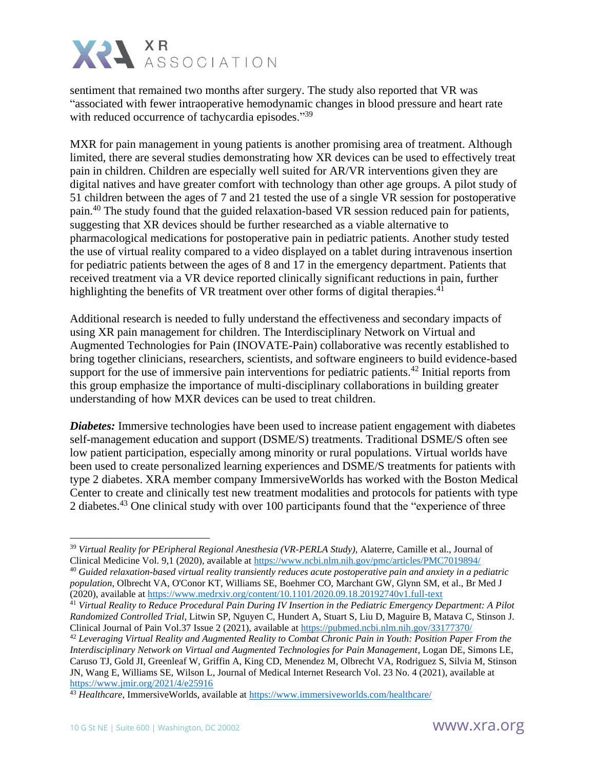

sentiment that remained two months after surgery. The study also reported that VR was "associated with fewer intraoperative hemodynamic changes in blood pressure and heart rate with reduced occurrence of tachycardia episodes."<sup>39</sup>

MXR for pain management in young patients is another promising area of treatment. Although limited, there are several studies demonstrating how XR devices can be used to effectively treat pain in children. Children are especially well suited for AR/VR interventions given they are digital natives and have greater comfort with technology than other age groups. A pilot study of 51 children between the ages of 7 and 21 tested the use of a single VR session for postoperative pain.<sup>40</sup> The study found that the guided relaxation-based VR session reduced pain for patients, suggesting that XR devices should be further researched as a viable alternative to pharmacological medications for postoperative pain in pediatric patients. Another study tested the use of virtual reality compared to a video displayed on a tablet during intravenous insertion for pediatric patients between the ages of 8 and 17 in the emergency department. Patients that received treatment via a VR device reported clinically significant reductions in pain, further highlighting the benefits of VR treatment over other forms of digital therapies.<sup>41</sup>

Additional research is needed to fully understand the effectiveness and secondary impacts of using XR pain management for children. The Interdisciplinary Network on Virtual and Augmented Technologies for Pain (INOVATE-Pain) collaborative was recently established to bring together clinicians, researchers, scientists, and software engineers to build evidence-based support for the use of immersive pain interventions for pediatric patients.<sup>42</sup> Initial reports from this group emphasize the importance of multi-disciplinary collaborations in building greater understanding of how MXR devices can be used to treat children.

*Diabetes:* Immersive technologies have been used to increase patient engagement with diabetes self-management education and support (DSME/S) treatments. Traditional DSME/S often see low patient participation, especially among minority or rural populations. Virtual worlds have been used to create personalized learning experiences and DSME/S treatments for patients with type 2 diabetes. XRA member company ImmersiveWorlds has worked with the Boston Medical Center to create and clinically test new treatment modalities and protocols for patients with type 2 diabetes.<sup>43</sup> One clinical study with over 100 participants found that the "experience of three"

<sup>39</sup> *Virtual Reality for PEripheral Regional Anesthesia (VR-PERLA Study),* Alaterre, Camille et al., Journal of Clinical Medicine Vol. 9,1 (2020), available at<https://www.ncbi.nlm.nih.gov/pmc/articles/PMC7019894/>

<sup>40</sup> *Guided relaxation-based virtual reality transiently reduces acute postoperative pain and anxiety in a pediatric population*, Olbrecht VA, O'Conor KT, Williams SE, Boehmer CO, Marchant GW, Glynn SM, et al., Br Med J (2020), available at<https://www.medrxiv.org/content/10.1101/2020.09.18.20192740v1.full-text>

<sup>41</sup> *Virtual Reality to Reduce Procedural Pain During IV Insertion in the Pediatric Emergency Department: A Pilot Randomized Controlled Trial*, Litwin SP, Nguyen C, Hundert A, Stuart S, Liu D, Maguire B, Matava C, Stinson J. Clinical Journal of Pain Vol.37 Issue 2 (2021), available a[t https://pubmed.ncbi.nlm.nih.gov/33177370/](https://pubmed.ncbi.nlm.nih.gov/33177370/)

<sup>42</sup> *Leveraging Virtual Reality and Augmented Reality to Combat Chronic Pain in Youth: Position Paper From the Interdisciplinary Network on Virtual and Augmented Technologies for Pain Management*, Logan DE, Simons LE, Caruso TJ, Gold JI, Greenleaf W, Griffin A, King CD, Menendez M, Olbrecht VA, Rodriguez S, Silvia M, Stinson JN, Wang E, Williams SE, Wilson L, Journal of Medical Internet Research Vol. 23 No. 4 (2021), available at <https://www.jmir.org/2021/4/e25916>

<sup>43</sup> *Healthcare*, ImmersiveWorlds, available at<https://www.immersiveworlds.com/healthcare/>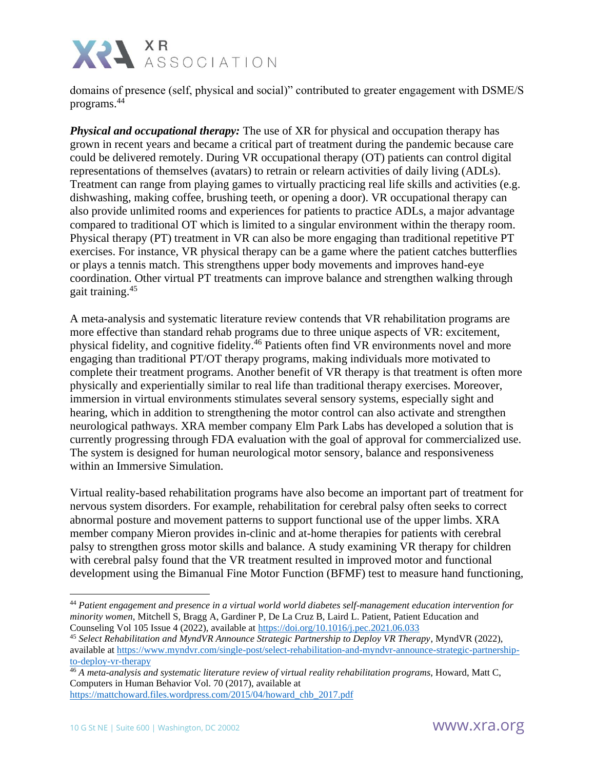

domains of presence (self, physical and social)" contributed to greater engagement with DSME/S programs.<sup>44</sup>

*Physical and occupational therapy:* The use of XR for physical and occupation therapy has grown in recent years and became a critical part of treatment during the pandemic because care could be delivered remotely. During VR occupational therapy (OT) patients can control digital representations of themselves (avatars) to retrain or relearn activities of daily living (ADLs). Treatment can range from playing games to virtually practicing real life skills and activities (e.g. dishwashing, making coffee, brushing teeth, or opening a door). VR occupational therapy can also provide unlimited rooms and experiences for patients to practice ADLs, a major advantage compared to traditional OT which is limited to a singular environment within the therapy room. Physical therapy (PT) treatment in VR can also be more engaging than traditional repetitive PT exercises. For instance, VR physical therapy can be a game where the patient catches butterflies or plays a tennis match. This strengthens upper body movements and improves hand-eye coordination. Other virtual PT treatments can improve balance and strengthen walking through gait training.<sup>45</sup>

A meta-analysis and systematic literature review contends that VR rehabilitation programs are more effective than standard rehab programs due to three unique aspects of VR: excitement, physical fidelity, and cognitive fidelity.<sup>46</sup> Patients often find VR environments novel and more engaging than traditional PT/OT therapy programs, making individuals more motivated to complete their treatment programs. Another benefit of VR therapy is that treatment is often more physically and experientially similar to real life than traditional therapy exercises. Moreover, immersion in virtual environments stimulates several sensory systems, especially sight and hearing, which in addition to strengthening the motor control can also activate and strengthen neurological pathways. XRA member company Elm Park Labs has developed a solution that is currently progressing through FDA evaluation with the goal of approval for commercialized use. The system is designed for human neurological motor sensory, balance and responsiveness within an Immersive Simulation.

Virtual reality-based rehabilitation programs have also become an important part of treatment for nervous system disorders. For example, rehabilitation for cerebral palsy often seeks to correct abnormal posture and movement patterns to support functional use of the upper limbs. XRA member company Mieron provides in-clinic and at-home therapies for patients with cerebral palsy to strengthen gross motor skills and balance. A study examining VR therapy for children with cerebral palsy found that the VR treatment resulted in improved motor and functional development using the Bimanual Fine Motor Function (BFMF) test to measure hand functioning,

<sup>44</sup> *Patient engagement and presence in a virtual world world diabetes self-management education intervention for minority women*, Mitchell S, Bragg A, Gardiner P, De La Cruz B, Laird L. Patient, Patient Education and Counseling Vol 105 Issue 4 (2022), available at<https://doi.org/10.1016/j.pec.2021.06.033>

<sup>45</sup> *Select Rehabilitation and MyndVR Announce Strategic Partnership to Deploy VR Therapy*, MyndVR (2022), available at [https://www.myndvr.com/single-post/select-rehabilitation-and-myndvr-announce-strategic-partnership](https://www.myndvr.com/single-post/select-rehabilitation-and-myndvr-announce-strategic-partnership-to-deploy-vr-therapy)[to-deploy-vr-therapy](https://www.myndvr.com/single-post/select-rehabilitation-and-myndvr-announce-strategic-partnership-to-deploy-vr-therapy)

<sup>46</sup> *A meta-analysis and systematic literature review of virtual reality rehabilitation programs*, Howard, Matt C, Computers in Human Behavior Vol. 70 (2017), available at [https://mattchoward.files.wordpress.com/2015/04/howard\\_chb\\_2017.pdf](https://mattchoward.files.wordpress.com/2015/04/howard_chb_2017.pdf)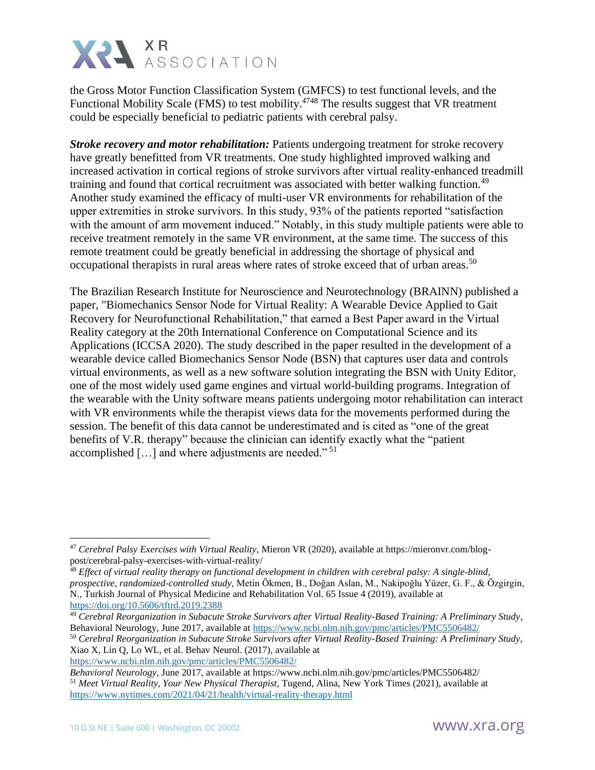

the Gross Motor Function Classification System (GMFCS) to test functional levels, and the Functional Mobility Scale (FMS) to test mobility.<sup>4748</sup> The results suggest that VR treatment could be especially beneficial to pediatric patients with cerebral palsy.

*Stroke recovery and motor rehabilitation:* Patients undergoing treatment for stroke recovery have greatly benefitted from VR treatments. One study highlighted improved walking and increased activation in cortical regions of stroke survivors after virtual reality-enhanced treadmill training and found that cortical recruitment was associated with better walking function.<sup>49</sup> Another study examined the efficacy of multi-user VR environments for rehabilitation of the upper extremities in stroke survivors. In this study, 93% of the patients reported "satisfaction with the amount of arm movement induced." Notably, in this study multiple patients were able to receive treatment remotely in the same VR environment, at the same time. The success of this remote treatment could be greatly beneficial in addressing the shortage of physical and occupational therapists in rural areas where rates of stroke exceed that of urban areas.<sup>50</sup>

The Brazilian Research Institute for Neuroscience and Neurotechnology (BRAINN) published a paper, "Biomechanics Sensor Node for Virtual Reality: A Wearable Device Applied to Gait Recovery for Neurofunctional Rehabilitation," that earned a Best Paper award in the Virtual Reality category at the 20th International Conference on Computational Science and its Applications (ICCSA 2020). The study described in the paper resulted in the development of a wearable device called Biomechanics Sensor Node (BSN) that captures user data and controls virtual environments, as well as a new software solution integrating the BSN with Unity Editor, one of the most widely used game engines and virtual world-building programs. Integration of the wearable with the Unity software means patients undergoing motor rehabilitation can interact with VR environments while the therapist views data for the movements performed during the session. The benefit of this data cannot be underestimated and is cited as "one of the great benefits of V.R. therapy" because the clinician can identify exactly what the "patient accomplished  $\left[\ldots\right]$  and where adjustments are needed."<sup>51</sup>

<sup>47</sup> *Cerebral Palsy Exercises with Virtual Reality*, Mieron VR (2020), available at https://mieronvr.com/blogpost/cerebral-palsy-exercises-with-virtual-reality/

<sup>48</sup> *Effect of virtual reality therapy on functional development in children with cerebral palsy: A single-blind, prospective, randomized-controlled study*, Metin Ökmen, B., Doğan Aslan, M., Nakipoğlu Yüzer, G. F., & Özgirgin, N., Turkish Journal of Physical Medicine and Rehabilitation Vol. 65 Issue 4 (2019), available at <https://doi.org/10.5606/tftrd.2019.2388>

<sup>49</sup> *Cerebral Reorganization in Subacute Stroke Survivors after Virtual Reality-Based Training: A Preliminary Study*, Behavioral Neurology, June 2017, available at<https://www.ncbi.nlm.nih.gov/pmc/articles/PMC5506482/>

<sup>50</sup> *Cerebral Reorganization in Subacute Stroke Survivors after Virtual Reality-Based Training: A Preliminary Study,* Xiao X, Lin Q, Lo WL, et al. Behav Neurol. (2017), available at <https://www.ncbi.nlm.nih.gov/pmc/articles/PMC5506482/>

*Behavioral Neurology*, June 2017, available at https://www.ncbi.nlm.nih.gov/pmc/articles/PMC5506482/ <sup>51</sup> *Meet Virtual Reality, Your New Physical Therapist*, Tugend, Alina, New York Times (2021), available at <https://www.nytimes.com/2021/04/21/health/virtual-reality-therapy.html>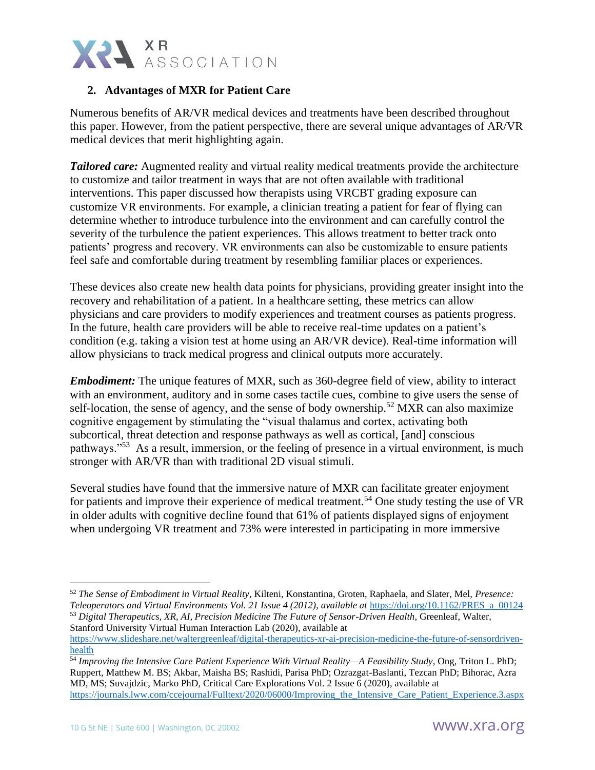

# **2. Advantages of MXR for Patient Care**

Numerous benefits of AR/VR medical devices and treatments have been described throughout this paper. However, from the patient perspective, there are several unique advantages of AR/VR medical devices that merit highlighting again.

*Tailored care:* Augmented reality and virtual reality medical treatments provide the architecture to customize and tailor treatment in ways that are not often available with traditional interventions. This paper discussed how therapists using VRCBT grading exposure can customize VR environments. For example, a clinician treating a patient for fear of flying can determine whether to introduce turbulence into the environment and can carefully control the severity of the turbulence the patient experiences. This allows treatment to better track onto patients' progress and recovery. VR environments can also be customizable to ensure patients feel safe and comfortable during treatment by resembling familiar places or experiences.

These devices also create new health data points for physicians, providing greater insight into the recovery and rehabilitation of a patient. In a healthcare setting, these metrics can allow physicians and care providers to modify experiences and treatment courses as patients progress. In the future, health care providers will be able to receive real-time updates on a patient's condition (e.g. taking a vision test at home using an AR/VR device). Real-time information will allow physicians to track medical progress and clinical outputs more accurately.

*Embodiment:* The unique features of MXR, such as 360-degree field of view, ability to interact with an environment, auditory and in some cases tactile cues, combine to give users the sense of self-location, the sense of agency, and the sense of body ownership.<sup>52</sup> MXR can also maximize cognitive engagement by stimulating the "visual thalamus and cortex, activating both subcortical, threat detection and response pathways as well as cortical, [and] conscious pathways."<sup>53</sup> As a result, immersion, or the feeling of presence in a virtual environment, is much stronger with AR/VR than with traditional 2D visual stimuli.

Several studies have found that the immersive nature of MXR can facilitate greater enjoyment for patients and improve their experience of medical treatment.<sup>54</sup> One study testing the use of VR in older adults with cognitive decline found that 61% of patients displayed signs of enjoyment when undergoing VR treatment and 73% were interested in participating in more immersive

<sup>54</sup> *Improving the Intensive Care Patient Experience With Virtual Reality—A Feasibility Study*, Ong, Triton L. PhD; Ruppert, Matthew M. BS; Akbar, Maisha BS; Rashidi, Parisa PhD; Ozrazgat-Baslanti, Tezcan PhD; Bihorac, Azra MD, MS; Suvajdzic, Marko PhD, Critical Care Explorations Vol. 2 Issue 6 (2020), available at [https://journals.lww.com/ccejournal/Fulltext/2020/06000/Improving\\_the\\_Intensive\\_Care\\_Patient\\_Experience.3.aspx](https://journals.lww.com/ccejournal/Fulltext/2020/06000/Improving_the_Intensive_Care_Patient_Experience.3.aspx)

<sup>52</sup> *The Sense of Embodiment in Virtual Reality*, Kilteni, Konstantina, Groten, Raphaela, and Slater, Mel, *Presence: Teleoperators and Virtual Environments Vol. 21 Issue 4 (2012), available at* [https://doi.org/10.1162/PRES\\_a\\_00124](https://doi.org/10.1162/PRES_a_00124) <sup>53</sup> *Digital Therapeutics, XR, AI, Precision Medicine The Future of Sensor-Driven Health*, Greenleaf, Walter, Stanford University Virtual Human Interaction Lab (2020), available at

[https://www.slideshare.net/waltergreenleaf/digital-therapeutics-xr-ai-precision-medicine-the-future-of-sensordriven](https://www.slideshare.net/waltergreenleaf/digital-therapeutics-xr-ai-precision-medicine-the-future-of-sensordriven-health)[health](https://www.slideshare.net/waltergreenleaf/digital-therapeutics-xr-ai-precision-medicine-the-future-of-sensordriven-health)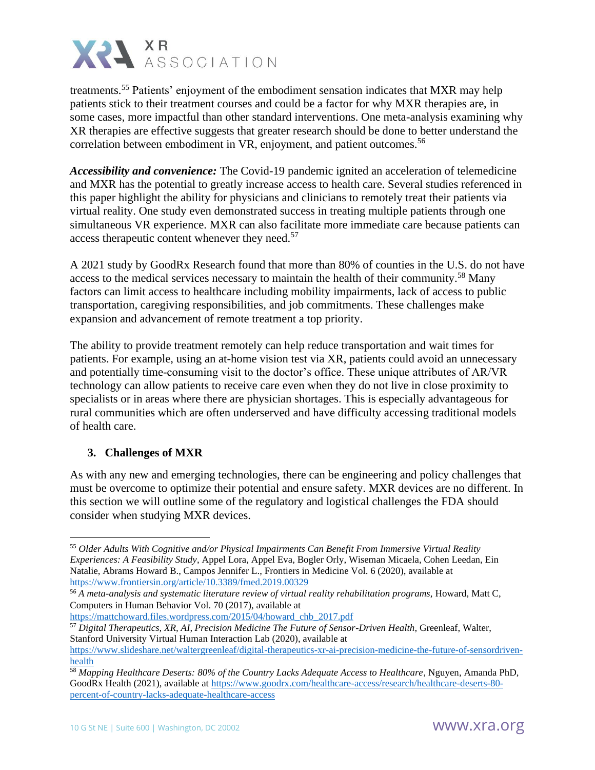

treatments.<sup>55</sup> Patients' enjoyment of the embodiment sensation indicates that MXR may help patients stick to their treatment courses and could be a factor for why MXR therapies are, in some cases, more impactful than other standard interventions. One meta-analysis examining why XR therapies are effective suggests that greater research should be done to better understand the correlation between embodiment in VR, enjoyment, and patient outcomes.<sup>56</sup>

*Accessibility and convenience:* The Covid-19 pandemic ignited an acceleration of telemedicine and MXR has the potential to greatly increase access to health care. Several studies referenced in this paper highlight the ability for physicians and clinicians to remotely treat their patients via virtual reality. One study even demonstrated success in treating multiple patients through one simultaneous VR experience. MXR can also facilitate more immediate care because patients can access therapeutic content whenever they need.<sup>57</sup>

A 2021 study by GoodRx Research found that more than 80% of counties in the U.S. do not have access to the medical services necessary to maintain the health of their community.<sup>58</sup> Many factors can limit access to healthcare including mobility impairments, lack of access to public transportation, caregiving responsibilities, and job commitments. These challenges make expansion and advancement of remote treatment a top priority.

The ability to provide treatment remotely can help reduce transportation and wait times for patients. For example, using an at-home vision test via XR, patients could avoid an unnecessary and potentially time-consuming visit to the doctor's office. These unique attributes of AR/VR technology can allow patients to receive care even when they do not live in close proximity to specialists or in areas where there are physician shortages. This is especially advantageous for rural communities which are often underserved and have difficulty accessing traditional models of health care.

### **3. Challenges of MXR**

As with any new and emerging technologies, there can be engineering and policy challenges that must be overcome to optimize their potential and ensure safety. MXR devices are no different. In this section we will outline some of the regulatory and logistical challenges the FDA should consider when studying MXR devices.

[https://mattchoward.files.wordpress.com/2015/04/howard\\_chb\\_2017.pdf](https://mattchoward.files.wordpress.com/2015/04/howard_chb_2017.pdf)

<sup>57</sup> *Digital Therapeutics, XR, AI, Precision Medicine The Future of Sensor-Driven Health*, Greenleaf, Walter, Stanford University Virtual Human Interaction Lab (2020), available at

<sup>55</sup> *Older Adults With Cognitive and/or Physical Impairments Can Benefit From Immersive Virtual Reality Experiences: A Feasibility Study*, Appel Lora, Appel Eva, Bogler Orly, Wiseman Micaela, Cohen Leedan, Ein Natalie, Abrams Howard B., Campos Jennifer L., Frontiers in Medicine Vol. 6 (2020), available at <https://www.frontiersin.org/article/10.3389/fmed.2019.00329>

<sup>56</sup> *A meta-analysis and systematic literature review of virtual reality rehabilitation programs*, Howard, Matt C, Computers in Human Behavior Vol. 70 (2017), available at

[https://www.slideshare.net/waltergreenleaf/digital-therapeutics-xr-ai-precision-medicine-the-future-of-sensordriven](https://www.slideshare.net/waltergreenleaf/digital-therapeutics-xr-ai-precision-medicine-the-future-of-sensordriven-health)[health](https://www.slideshare.net/waltergreenleaf/digital-therapeutics-xr-ai-precision-medicine-the-future-of-sensordriven-health)

<sup>58</sup> *Mapping Healthcare Deserts: 80% of the Country Lacks Adequate Access to Healthcare*, Nguyen, Amanda PhD, GoodRx Health (2021), available at [https://www.goodrx.com/healthcare-access/research/healthcare-deserts-80](https://www.goodrx.com/healthcare-access/research/healthcare-deserts-80-percent-of-country-lacks-adequate-healthcare-access) [percent-of-country-lacks-adequate-healthcare-access](https://www.goodrx.com/healthcare-access/research/healthcare-deserts-80-percent-of-country-lacks-adequate-healthcare-access)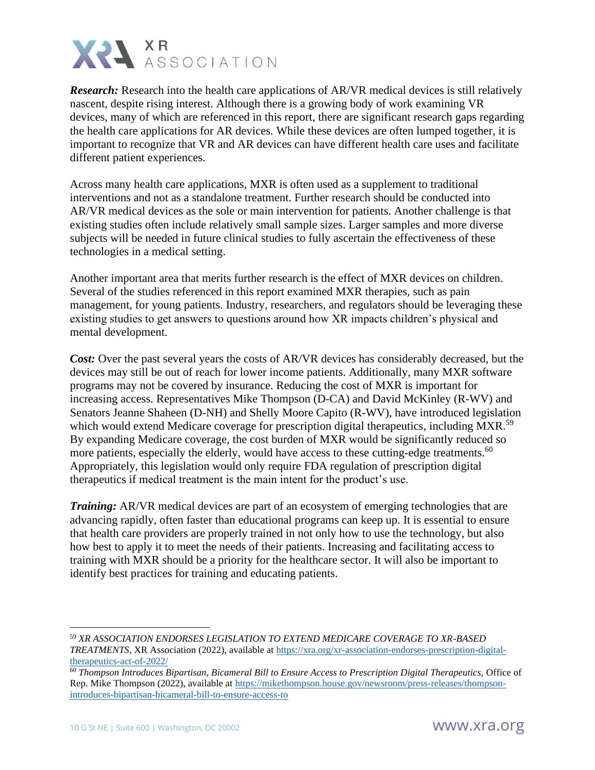

*Research:* Research into the health care applications of AR/VR medical devices is still relatively nascent, despite rising interest. Although there is a growing body of work examining VR devices, many of which are referenced in this report, there are significant research gaps regarding the health care applications for AR devices. While these devices are often lumped together, it is important to recognize that VR and AR devices can have different health care uses and facilitate different patient experiences.

Across many health care applications, MXR is often used as a supplement to traditional interventions and not as a standalone treatment. Further research should be conducted into AR/VR medical devices as the sole or main intervention for patients. Another challenge is that existing studies often include relatively small sample sizes. Larger samples and more diverse subjects will be needed in future clinical studies to fully ascertain the effectiveness of these technologies in a medical setting.

Another important area that merits further research is the effect of MXR devices on children. Several of the studies referenced in this report examined MXR therapies, such as pain management, for young patients. Industry, researchers, and regulators should be leveraging these existing studies to get answers to questions around how XR impacts children's physical and mental development.

*Cost:* Over the past several years the costs of AR/VR devices has considerably decreased, but the devices may still be out of reach for lower income patients. Additionally, many MXR software programs may not be covered by insurance. Reducing the cost of MXR is important for increasing access. Representatives Mike Thompson (D-CA) and David McKinley (R-WV) and Senators Jeanne Shaheen (D-NH) and Shelly Moore Capito (R-WV), have introduced legislation which would extend Medicare coverage for prescription digital therapeutics, including MXR.<sup>59</sup> By expanding Medicare coverage, the cost burden of MXR would be significantly reduced so more patients, especially the elderly, would have access to these cutting-edge treatments.<sup>60</sup> Appropriately, this legislation would only require FDA regulation of prescription digital therapeutics if medical treatment is the main intent for the product's use.

*Training:* AR/VR medical devices are part of an ecosystem of emerging technologies that are advancing rapidly, often faster than educational programs can keep up. It is essential to ensure that health care providers are properly trained in not only how to use the technology, but also how best to apply it to meet the needs of their patients. Increasing and facilitating access to training with MXR should be a priority for the healthcare sector. It will also be important to identify best practices for training and educating patients.

<sup>59</sup> *XR ASSOCIATION ENDORSES LEGISLATION TO EXTEND MEDICARE COVERAGE TO XR-BASED TREATMENTS*, XR Association (2022), available at [https://xra.org/xr-association-endorses-prescription-digital](https://xra.org/xr-association-endorses-prescription-digital-therapeutics-act-of-2022/)[therapeutics-act-of-2022/](https://xra.org/xr-association-endorses-prescription-digital-therapeutics-act-of-2022/)

<sup>60</sup> *Thompson Introduces Bipartisan, Bicameral Bill to Ensure Access to Prescription Digital Therapeutics,* Office of Rep. Mike Thompson (2022), available at [https://mikethompson.house.gov/newsroom/press-releases/thompson](https://mikethompson.house.gov/newsroom/press-releases/thompson-introduces-bipartisan-bicameral-bill-to-ensure-access-to)[introduces-bipartisan-bicameral-bill-to-ensure-access-to](https://mikethompson.house.gov/newsroom/press-releases/thompson-introduces-bipartisan-bicameral-bill-to-ensure-access-to)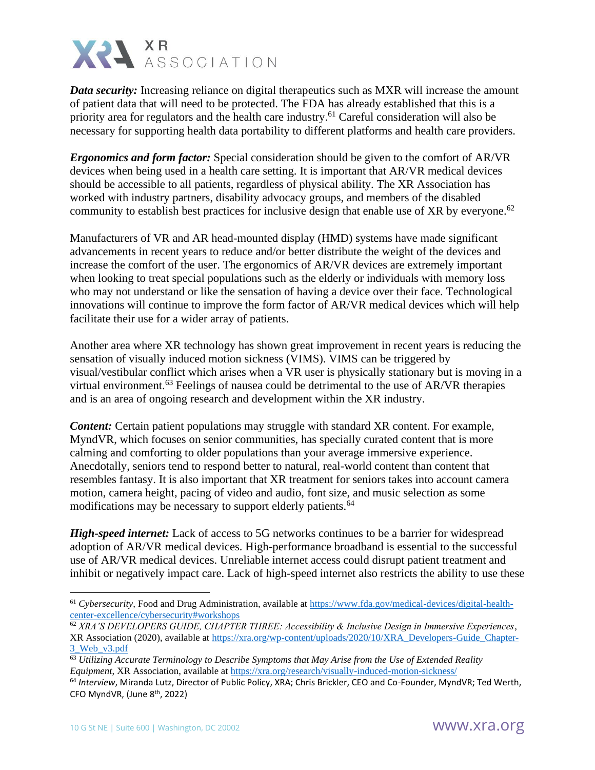

*Data security:* Increasing reliance on digital therapeutics such as MXR will increase the amount of patient data that will need to be protected. The FDA has already established that this is a priority area for regulators and the health care industry.<sup>61</sup> Careful consideration will also be necessary for supporting health data portability to different platforms and health care providers.

*Ergonomics and form factor:* Special consideration should be given to the comfort of AR/VR devices when being used in a health care setting. It is important that AR/VR medical devices should be accessible to all patients, regardless of physical ability. The XR Association has worked with industry partners, disability advocacy groups, and members of the disabled community to establish best practices for inclusive design that enable use of XR by everyone.<sup>62</sup>

Manufacturers of VR and AR head-mounted display (HMD) systems have made significant advancements in recent years to reduce and/or better distribute the weight of the devices and increase the comfort of the user. The ergonomics of AR/VR devices are extremely important when looking to treat special populations such as the elderly or individuals with memory loss who may not understand or like the sensation of having a device over their face. Technological innovations will continue to improve the form factor of AR/VR medical devices which will help facilitate their use for a wider array of patients.

Another area where XR technology has shown great improvement in recent years is reducing the sensation of visually induced motion sickness (VIMS). VIMS can be triggered by visual/vestibular conflict which arises when a VR user is physically stationary but is moving in a virtual environment.<sup>63</sup> Feelings of nausea could be detrimental to the use of AR/VR therapies and is an area of ongoing research and development within the XR industry.

*Content:* Certain patient populations may struggle with standard XR content. For example, MyndVR, which focuses on senior communities, has specially curated content that is more calming and comforting to older populations than your average immersive experience. Anecdotally, seniors tend to respond better to natural, real-world content than content that resembles fantasy. It is also important that XR treatment for seniors takes into account camera motion, camera height, pacing of video and audio, font size, and music selection as some modifications may be necessary to support elderly patients.<sup>64</sup>

*High-speed internet:* Lack of access to 5G networks continues to be a barrier for widespread adoption of AR/VR medical devices. High-performance broadband is essential to the successful use of AR/VR medical devices. Unreliable internet access could disrupt patient treatment and inhibit or negatively impact care. Lack of high-speed internet also restricts the ability to use these

<sup>&</sup>lt;sup>61</sup> Cybersecurity, Food and Drug Administration, available at [https://www.fda.gov/medical-devices/digital-health](https://www.fda.gov/medical-devices/digital-health-center-excellence/cybersecurity#workshops)[center-excellence/cybersecurity#workshops](https://www.fda.gov/medical-devices/digital-health-center-excellence/cybersecurity#workshops)

<sup>62</sup> *XRA'S DEVELOPERS GUIDE, CHAPTER THREE: Accessibility & Inclusive Design in Immersive Experiences*, XR Association (2020), available at [https://xra.org/wp-content/uploads/2020/10/XRA\\_Developers-Guide\\_Chapter-](https://xra.org/wp-content/uploads/2020/10/XRA_Developers-Guide_Chapter-3_Web_v3.pdf)[3\\_Web\\_v3.pdf](https://xra.org/wp-content/uploads/2020/10/XRA_Developers-Guide_Chapter-3_Web_v3.pdf)

<sup>63</sup> *Utilizing Accurate Terminology to Describe Symptoms that May Arise from the Use of Extended Reality Equipment*, XR Association, available at<https://xra.org/research/visually-induced-motion-sickness/>

<sup>64</sup> *Interview*, Miranda Lutz, Director of Public Policy, XRA; Chris Brickler, CEO and Co-Founder, MyndVR; Ted Werth, CFO MyndVR, (June 8th, 2022)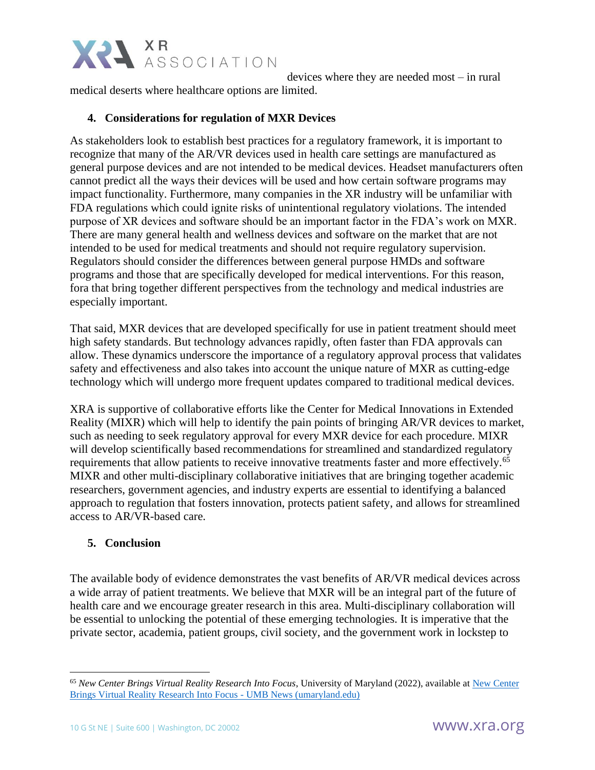

devices where they are needed most – in rural medical deserts where healthcare options are limited.

## **4. Considerations for regulation of MXR Devices**

As stakeholders look to establish best practices for a regulatory framework, it is important to recognize that many of the AR/VR devices used in health care settings are manufactured as general purpose devices and are not intended to be medical devices. Headset manufacturers often cannot predict all the ways their devices will be used and how certain software programs may impact functionality. Furthermore, many companies in the XR industry will be unfamiliar with FDA regulations which could ignite risks of unintentional regulatory violations. The intended purpose of XR devices and software should be an important factor in the FDA's work on MXR. There are many general health and wellness devices and software on the market that are not intended to be used for medical treatments and should not require regulatory supervision. Regulators should consider the differences between general purpose HMDs and software programs and those that are specifically developed for medical interventions. For this reason, fora that bring together different perspectives from the technology and medical industries are especially important.

That said, MXR devices that are developed specifically for use in patient treatment should meet high safety standards. But technology advances rapidly, often faster than FDA approvals can allow. These dynamics underscore the importance of a regulatory approval process that validates safety and effectiveness and also takes into account the unique nature of MXR as cutting-edge technology which will undergo more frequent updates compared to traditional medical devices.

XRA is supportive of collaborative efforts like the Center for Medical Innovations in Extended Reality (MIXR) which will help to identify the pain points of bringing AR/VR devices to market, such as needing to seek regulatory approval for every MXR device for each procedure. MIXR will develop scientifically based recommendations for streamlined and standardized regulatory requirements that allow patients to receive innovative treatments faster and more effectively.<sup>65</sup> MIXR and other multi-disciplinary collaborative initiatives that are bringing together academic researchers, government agencies, and industry experts are essential to identifying a balanced approach to regulation that fosters innovation, protects patient safety, and allows for streamlined access to AR/VR-based care.

### **5. Conclusion**

The available body of evidence demonstrates the vast benefits of AR/VR medical devices across a wide array of patient treatments. We believe that MXR will be an integral part of the future of health care and we encourage greater research in this area. Multi-disciplinary collaboration will be essential to unlocking the potential of these emerging technologies. It is imperative that the private sector, academia, patient groups, civil society, and the government work in lockstep to

<sup>65</sup> *New Center Brings Virtual Reality Research Into Focus*, University of Maryland (2022), available at [New Center](https://www.umaryland.edu/news/archived-news/may-2022/new-center-brings-virtual-reality-research-into-focus.php)  [Brings Virtual Reality Research Into Focus -](https://www.umaryland.edu/news/archived-news/may-2022/new-center-brings-virtual-reality-research-into-focus.php) UMB News (umaryland.edu)